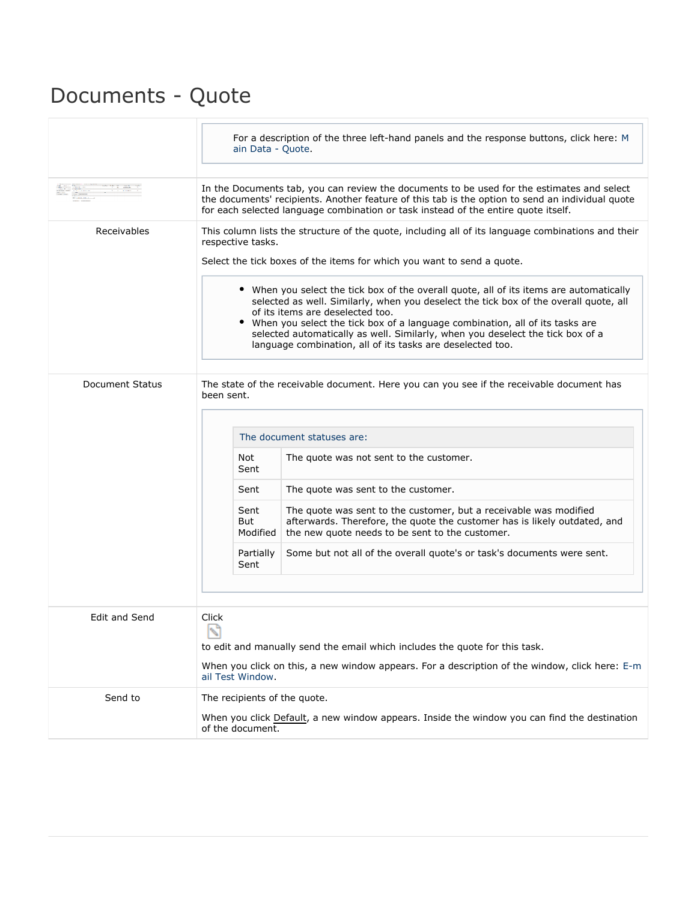## Documents - Quote

|                        | For a description of the three left-hand panels and the response buttons, click here: M<br>ain Data - Quote.                                                                                                                                                                                                                                                                                                                                         |
|------------------------|------------------------------------------------------------------------------------------------------------------------------------------------------------------------------------------------------------------------------------------------------------------------------------------------------------------------------------------------------------------------------------------------------------------------------------------------------|
|                        | In the Documents tab, you can review the documents to be used for the estimates and select<br>the documents' recipients. Another feature of this tab is the option to send an individual quote<br>for each selected language combination or task instead of the entire quote itself.                                                                                                                                                                 |
| Receivables            | This column lists the structure of the quote, including all of its language combinations and their<br>respective tasks.<br>Select the tick boxes of the items for which you want to send a quote.                                                                                                                                                                                                                                                    |
|                        | • When you select the tick box of the overall quote, all of its items are automatically<br>selected as well. Similarly, when you deselect the tick box of the overall quote, all<br>of its items are deselected too.<br>When you select the tick box of a language combination, all of its tasks are<br>selected automatically as well. Similarly, when you deselect the tick box of a<br>language combination, all of its tasks are deselected too. |
| <b>Document Status</b> | The state of the receivable document. Here you can you see if the receivable document has<br>been sent.                                                                                                                                                                                                                                                                                                                                              |
|                        | The document statuses are:                                                                                                                                                                                                                                                                                                                                                                                                                           |
|                        | Not<br>The quote was not sent to the customer.<br>Sent                                                                                                                                                                                                                                                                                                                                                                                               |
|                        | The quote was sent to the customer.<br>Sent                                                                                                                                                                                                                                                                                                                                                                                                          |
|                        | The quote was sent to the customer, but a receivable was modified<br>Sent<br>But<br>afterwards. Therefore, the quote the customer has is likely outdated, and<br>Modified<br>the new quote needs to be sent to the customer.                                                                                                                                                                                                                         |
|                        | Partially<br>Some but not all of the overall quote's or task's documents were sent.<br>Sent                                                                                                                                                                                                                                                                                                                                                          |
|                        |                                                                                                                                                                                                                                                                                                                                                                                                                                                      |
| Edit and Send          | Click<br>N<br>to edit and manually send the email which includes the quote for this task.<br>When you click on this, a new window appears. For a description of the window, click here: E-m                                                                                                                                                                                                                                                          |
|                        | ail Test Window.                                                                                                                                                                                                                                                                                                                                                                                                                                     |
| Send to                | The recipients of the quote.<br>When you click Default, a new window appears. Inside the window you can find the destination<br>of the document.                                                                                                                                                                                                                                                                                                     |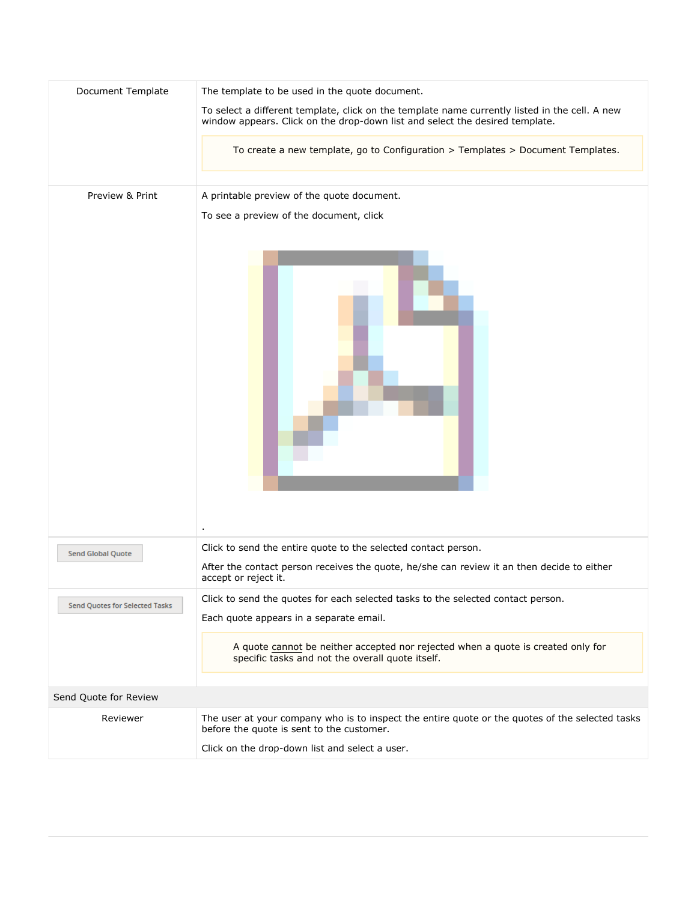| Document Template                     | The template to be used in the quote document.                                                                                                                                                 |
|---------------------------------------|------------------------------------------------------------------------------------------------------------------------------------------------------------------------------------------------|
|                                       | To select a different template, click on the template name currently listed in the cell. A new<br>window appears. Click on the drop-down list and select the desired template.                 |
|                                       | To create a new template, go to Configuration > Templates > Document Templates.                                                                                                                |
| Preview & Print                       | A printable preview of the quote document.                                                                                                                                                     |
|                                       | To see a preview of the document, click                                                                                                                                                        |
|                                       |                                                                                                                                                                                                |
| <b>Send Global Quote</b>              | Click to send the entire quote to the selected contact person.<br>After the contact person receives the quote, he/she can review it an then decide to either<br>accept or reject it.           |
| <b>Send Quotes for Selected Tasks</b> | Click to send the quotes for each selected tasks to the selected contact person.<br>Each quote appears in a separate email.                                                                    |
|                                       | A quote cannot be neither accepted nor rejected when a quote is created only for<br>specific tasks and not the overall quote itself.                                                           |
| Send Quote for Review                 |                                                                                                                                                                                                |
| Reviewer                              | The user at your company who is to inspect the entire quote or the quotes of the selected tasks<br>before the quote is sent to the customer.<br>Click on the drop-down list and select a user. |
|                                       |                                                                                                                                                                                                |